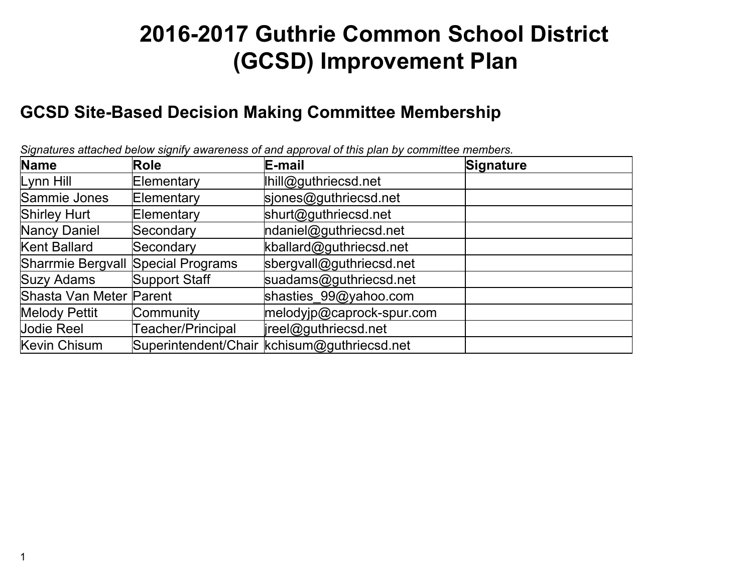# **2016-2017 Guthrie Common School District (GCSD) Improvement Plan**

#### **GCSD Site-Based Decision Making Committee Membership**

| <b>Name</b>                        | Role                 | $\frac{1}{2}$ $\frac{1}{2}$ $\frac{1}{2}$ $\frac{1}{2}$ $\frac{1}{2}$ $\frac{1}{2}$ $\frac{1}{2}$ $\frac{1}{2}$ $\frac{1}{2}$ $\frac{1}{2}$ $\frac{1}{2}$ $\frac{1}{2}$ $\frac{1}{2}$ $\frac{1}{2}$ $\frac{1}{2}$ $\frac{1}{2}$ $\frac{1}{2}$ $\frac{1}{2}$ $\frac{1}{2}$ $\frac{1}{2}$ $\frac{1}{2}$ $\frac{1}{2}$<br>E-mail | <b>Signature</b> |
|------------------------------------|----------------------|-------------------------------------------------------------------------------------------------------------------------------------------------------------------------------------------------------------------------------------------------------------------------------------------------------------------------------|------------------|
| Lynn Hill                          | Elementary           | Ihill@guthriecsd.net                                                                                                                                                                                                                                                                                                          |                  |
| Sammie Jones                       | Elementary           | sjones@guthriecsd.net                                                                                                                                                                                                                                                                                                         |                  |
| <b>Shirley Hurt</b>                | Elementary           | shurt@guthriecsd.net                                                                                                                                                                                                                                                                                                          |                  |
| Nancy Daniel                       | Secondary            | ndaniel@guthriecsd.net                                                                                                                                                                                                                                                                                                        |                  |
| Kent Ballard                       | Secondary            | kballard@guthriecsd.net                                                                                                                                                                                                                                                                                                       |                  |
| Sharrmie Bergvall Special Programs |                      | sbergvall@guthriecsd.net                                                                                                                                                                                                                                                                                                      |                  |
| Suzy Adams                         | <b>Support Staff</b> | suadams@guthriecsd.net                                                                                                                                                                                                                                                                                                        |                  |
| Shasta Van Meter Parent            |                      | shasties 99@yahoo.com                                                                                                                                                                                                                                                                                                         |                  |
| <b>Melody Pettit</b>               | Community            | melodyjp@caprock-spur.com                                                                                                                                                                                                                                                                                                     |                  |
| <b>Jodie Reel</b>                  | Teacher/Principal    | ireel@guthriecsd.net                                                                                                                                                                                                                                                                                                          |                  |
| Kevin Chisum                       |                      | Superintendent/Chair  kchisum@guthriecsd.net                                                                                                                                                                                                                                                                                  |                  |

*Signatures attached below signify awareness of and approval of this plan by committee members.*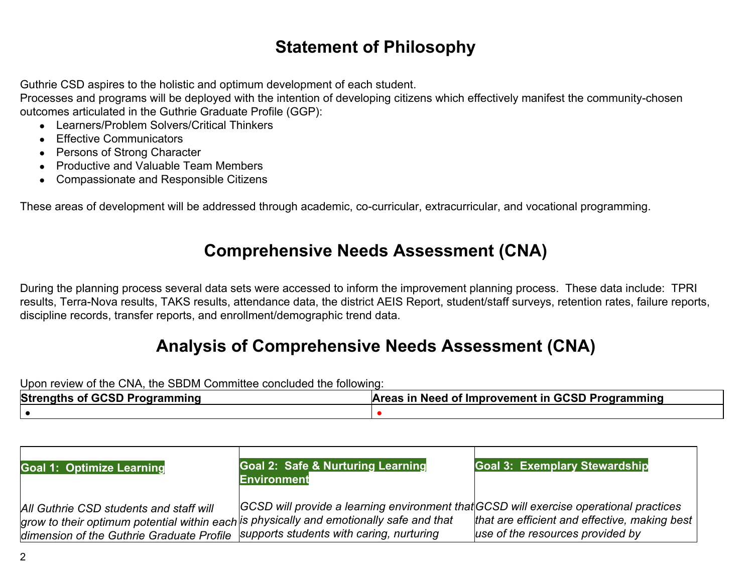## **Statement of Philosophy**

Guthrie CSD aspires to the holistic and optimum development of each student.

Processes and programs will be deployed with the intention of developing citizens which effectively manifest the community-chosen outcomes articulated in the Guthrie Graduate Profile (GGP):

- Learners/Problem Solvers/Critical Thinkers
- Effective Communicators
- Persons of Strong Character
- Productive and Valuable Team Members
- Compassionate and Responsible Citizens

These areas of development will be addressed through academic, co-curricular, extracurricular, and vocational programming.

#### **Comprehensive Needs Assessment (CNA)**

During the planning process several data sets were accessed to inform the improvement planning process. These data include: TPRI results, Terra-Nova results, TAKS results, attendance data, the district AEIS Report, student/staff surveys, retention rates, failure reports, discipline records, transfer reports, and enrollment/demographic trend data.

## **Analysis of Comprehensive Needs Assessment (CNA)**

Upon review of the CNA, the SBDM Committee concluded the following:

| <b>Strengths of GCSD Programming</b> | Areas in Need of Improvement in GCSD Programming |  |  |
|--------------------------------------|--------------------------------------------------|--|--|
|                                      |                                                  |  |  |

| <b>Goal 1: Optimize Learning</b>                                                   | <b>Goal 2: Safe &amp; Nurturing Learning</b><br><b>Environment</b>                      | <b>Goal 3: Exemplary Stewardship</b>          |
|------------------------------------------------------------------------------------|-----------------------------------------------------------------------------------------|-----------------------------------------------|
| All Guthrie CSD students and staff will                                            | GCSD will provide a learning environment that GCSD will exercise operational practices  | that are efficient and effective, making best |
| dimension of the Guthrie Graduate Profile Supports students with caring, nurturing | grow to their optimum potential within each is physically and emotionally safe and that | use of the resources provided by              |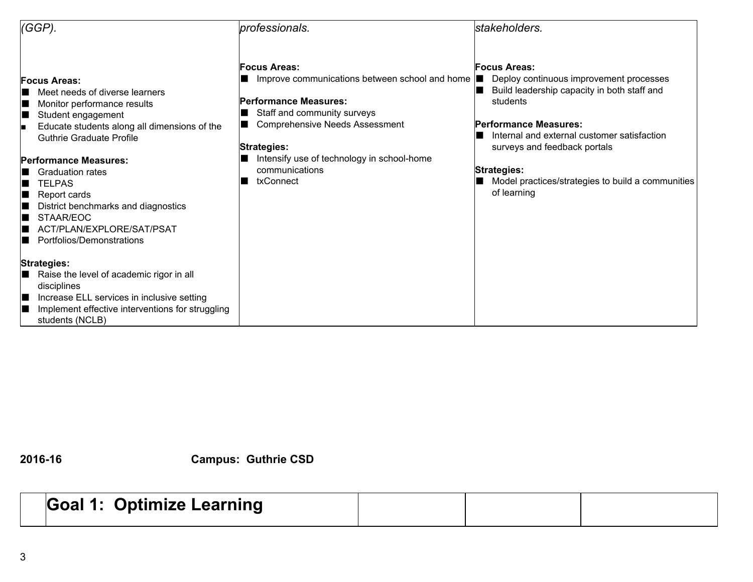| $(GGP)$ .                                                                                                                                                                                                                                                                                                                                                                                                    | professionals.                                                                                                                                                                                                                                                                     | stakeholders.                                                                                                                                                                                                                                                                                                               |  |
|--------------------------------------------------------------------------------------------------------------------------------------------------------------------------------------------------------------------------------------------------------------------------------------------------------------------------------------------------------------------------------------------------------------|------------------------------------------------------------------------------------------------------------------------------------------------------------------------------------------------------------------------------------------------------------------------------------|-----------------------------------------------------------------------------------------------------------------------------------------------------------------------------------------------------------------------------------------------------------------------------------------------------------------------------|--|
| <b>Focus Areas:</b><br>Meet needs of diverse learners<br>Monitor performance results<br>Student engagement<br>Ш<br>Educate students along all dimensions of the<br>Iп<br><b>Guthrie Graduate Profile</b><br><b>Performance Measures:</b><br><b>Graduation rates</b><br>TFI PAS<br>Report cards<br>District benchmarks and diagnostics<br>STAAR/EOC<br>ACT/PLAN/EXPLORE/SAT/PSAT<br>Portfolios/Demonstrations | <b>Focus Areas:</b><br>Improve communications between school and home  <br><b>Performance Measures:</b><br>Staff and community surveys<br><b>Comprehensive Needs Assessment</b><br><b>Strategies:</b><br>Intensify use of technology in school-home<br>communications<br>txConnect | <b>Focus Areas:</b><br>Deploy continuous improvement processes<br>Build leadership capacity in both staff and<br>students<br>Performance Measures:<br>Internal and external customer satisfaction<br>surveys and feedback portals<br><b>Strategies:</b><br>Model practices/strategies to build a communities<br>of learning |  |
| <b>Strategies:</b><br>Raise the level of academic rigor in all<br>II.<br>disciplines<br>Increase ELL services in inclusive setting<br>Ш<br>Implement effective interventions for struggling<br>students (NCLB)                                                                                                                                                                                               |                                                                                                                                                                                                                                                                                    |                                                                                                                                                                                                                                                                                                                             |  |

**201616 Campus: Guthrie CSD**

# **Goal 1: Optimize Learning**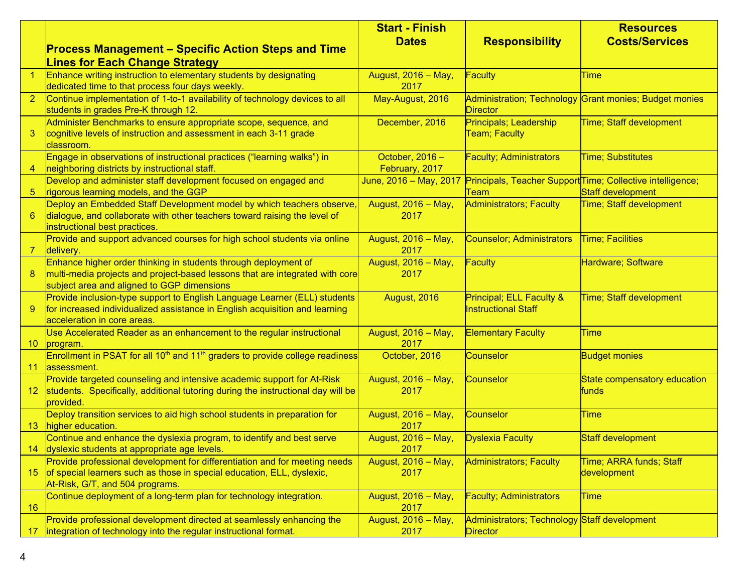|                 |                                                                                                                                                                                               | <b>Start - Finish</b>             |                                                          | <b>Resources</b>                                                                |
|-----------------|-----------------------------------------------------------------------------------------------------------------------------------------------------------------------------------------------|-----------------------------------|----------------------------------------------------------|---------------------------------------------------------------------------------|
|                 | <b>Process Management – Specific Action Steps and Time</b>                                                                                                                                    | <b>Dates</b>                      | <b>Responsibility</b>                                    | <b>Costs/Services</b>                                                           |
|                 | <b>Lines for Each Change Strategy</b>                                                                                                                                                         |                                   |                                                          |                                                                                 |
| $\overline{1}$  | <b>Enhance writing instruction to elementary students by designating</b><br>dedicated time to that process four days weekly.                                                                  | August, 2016 - May,<br>2017       | Faculty                                                  | <b>Time</b>                                                                     |
| 2 <sup>1</sup>  | Continue implementation of 1-to-1 availability of technology devices to all<br>students in grades Pre-K through 12.                                                                           | May-August, 2016                  | <b>Director</b>                                          | Administration; Technology Grant monies; Budget monies                          |
| 3               | Administer Benchmarks to ensure appropriate scope, sequence, and<br>cognitive levels of instruction and assessment in each 3-11 grade<br>classroom.                                           | December, 2016                    | Principals; Leadership<br>Team; Faculty                  | Time; Staff development                                                         |
| $\overline{4}$  | Engage in observations of instructional practices ("learning walks") in<br>neighboring districts by instructional staff.                                                                      | October, 2016 -<br>February, 2017 | <b>Faculty; Administrators</b>                           | <b>Time; Substitutes</b>                                                        |
| $\sqrt{5}$      | Develop and administer staff development focused on engaged and<br>rigorous learning models, and the GGP                                                                                      | June, 2016 - May, 2017            | Team                                                     | Principals, Teacher Support Time; Collective intelligence;<br>Staff development |
| 6               | Deploy an Embedded Staff Development model by which teachers observe,<br>dialogue, and collaborate with other teachers toward raising the level of<br>instructional best practices.           | August, 2016 - May,<br>2017       | <b>Administrators; Faculty</b>                           | Time; Staff development                                                         |
| $\overline{7}$  | Provide and support advanced courses for high school students via online<br>delivery.                                                                                                         | August, 2016 - May,<br>2017       | <b>Counselor; Administrators</b>                         | Time; Facilities                                                                |
| 8               | Enhance higher order thinking in students through deployment of<br>multi-media projects and project-based lessons that are integrated with core<br>subject area and aligned to GGP dimensions | August, 2016 - May,<br>2017       | Faculty                                                  | Hardware; Software                                                              |
| 9               | Provide inclusion-type support to English Language Learner (ELL) students<br>for increased individualized assistance in English acquisition and learning<br>acceleration in core areas.       | August, 2016                      | Principal; ELL Faculty &<br><b>Instructional Staff</b>   | Time; Staff development                                                         |
| 10 <sup>°</sup> | Use Accelerated Reader as an enhancement to the regular instructional<br>program.                                                                                                             | August, 2016 - May,<br>2017       | <b>Elementary Faculty</b>                                | <b>Time</b>                                                                     |
| 11              | Enrollment in PSAT for all 10 <sup>th</sup> and 11 <sup>th</sup> graders to provide college readiness<br>assessment.                                                                          | October, 2016                     | <b>Counselor</b>                                         | <b>Budget monies</b>                                                            |
| 12 <sub>2</sub> | Provide targeted counseling and intensive academic support for At-Risk<br>students. Specifically, additional tutoring during the instructional day will be<br>provided.                       | August, 2016 - May,<br>2017       | <b>Counselor</b>                                         | State compensatory education<br><b>funds</b>                                    |
| 13 <sup>°</sup> | Deploy transition services to aid high school students in preparation for<br>higher education.                                                                                                | August, 2016 - May,<br>2017       | <b>Counselor</b>                                         | <b>Time</b>                                                                     |
| 14              | Continue and enhance the dyslexia program, to identify and best serve<br>dyslexic students at appropriate age levels.                                                                         | August, 2016 - May,<br>2017       | <b>Dyslexia Faculty</b>                                  | <b>Staff development</b>                                                        |
| 15              | Provide professional development for differentiation and for meeting needs<br>of special learners such as those in special education, ELL, dyslexic,<br>At-Risk, G/T, and 504 programs.       | August, 2016 - May,<br>2017       | <b>Administrators; Faculty</b>                           | Time; ARRA funds; Staff<br>development                                          |
| 16              | Continue deployment of a long-term plan for technology integration.                                                                                                                           | August, 2016 - May,<br>2017       | <b>Faculty; Administrators</b>                           | <b>Time</b>                                                                     |
| 17              | Provide professional development directed at seamlessly enhancing the<br>integration of technology into the regular instructional format.                                                     | August, 2016 - May,<br>2017       | Administrators; Technology Staff development<br>Director |                                                                                 |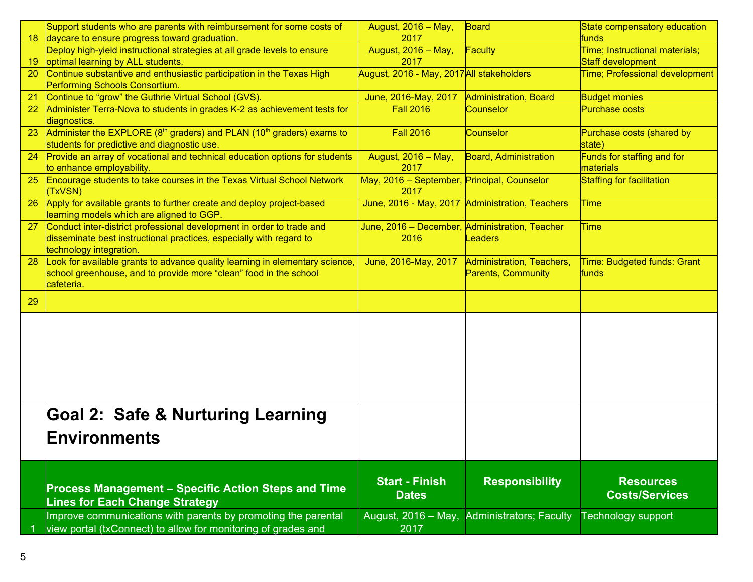|                 | Support students who are parents with reimbursement for some costs of                                                                                                   | August, 2016 - May,                                    | Board                                                  | State compensatory education                |
|-----------------|-------------------------------------------------------------------------------------------------------------------------------------------------------------------------|--------------------------------------------------------|--------------------------------------------------------|---------------------------------------------|
| 18 <sup>°</sup> | daycare to ensure progress toward graduation.                                                                                                                           | 2017                                                   |                                                        | funds                                       |
|                 | Deploy high-yield instructional strategies at all grade levels to ensure                                                                                                | August, 2016 - May,                                    | Faculty                                                | Time; Instructional materials;              |
| 19              | optimal learning by ALL students.                                                                                                                                       | 2017                                                   |                                                        | Staff development                           |
| 20              | Continue substantive and enthusiastic participation in the Texas High                                                                                                   | August, 2016 - May, 2017 All stakeholders              |                                                        | <b>Time; Professional development</b>       |
| 21              | Performing Schools Consortium.<br>Continue to "grow" the Guthrie Virtual School (GVS).                                                                                  |                                                        | Administration, Board                                  | <b>Budget monies</b>                        |
| 22              | Administer Terra-Nova to students in grades K-2 as achievement tests for                                                                                                | June, 2016-May, 2017<br><b>Fall 2016</b>               | Counselor                                              | Purchase costs                              |
|                 | diagnostics.                                                                                                                                                            |                                                        |                                                        |                                             |
| 23              | Administer the EXPLORE (8 <sup>th</sup> graders) and PLAN (10 <sup>th</sup> graders) exams to<br>students for predictive and diagnostic use.                            | <b>Fall 2016</b>                                       | Counselor                                              | Purchase costs (shared by<br>state)         |
| 24              | Provide an array of vocational and technical education options for students                                                                                             | August, 2016 - May,                                    | Board, Administration                                  | Funds for staffing and for                  |
|                 | to enhance employability.                                                                                                                                               | 2017                                                   |                                                        | materials                                   |
| 25              | <b>Encourage students to take courses in the Texas Virtual School Network</b><br>(TxVSN)                                                                                | May, 2016 - September, Principal, Counselor<br>2017    |                                                        | <b>Staffing for facilitation</b>            |
| 26              | Apply for available grants to further create and deploy project-based<br>learning models which are aligned to GGP.                                                      |                                                        | June, 2016 - May, 2017 Administration, Teachers        | <b>Time</b>                                 |
| 27              | Conduct inter-district professional development in order to trade and<br>disseminate best instructional practices, especially with regard to<br>technology integration. | June, 2016 - December, Administration, Teacher<br>2016 | <b>Leaders</b>                                         | <b>Time</b>                                 |
| 28              | Look for available grants to advance quality learning in elementary science,<br>school greenhouse, and to provide more "clean" food in the school<br>cafeteria.         | June, 2016-May, 2017                                   | Administration, Teachers,<br><b>Parents, Community</b> | Time: Budgeted funds: Grant<br><b>funds</b> |
| 29              |                                                                                                                                                                         |                                                        |                                                        |                                             |
|                 |                                                                                                                                                                         |                                                        |                                                        |                                             |
|                 |                                                                                                                                                                         |                                                        |                                                        |                                             |
|                 |                                                                                                                                                                         |                                                        |                                                        |                                             |
|                 |                                                                                                                                                                         |                                                        |                                                        |                                             |
|                 | <b>Goal 2: Safe &amp; Nurturing Learning</b>                                                                                                                            |                                                        |                                                        |                                             |
|                 | Environments                                                                                                                                                            |                                                        |                                                        |                                             |
|                 |                                                                                                                                                                         |                                                        |                                                        |                                             |
|                 |                                                                                                                                                                         |                                                        |                                                        |                                             |
|                 | <b>Process Management - Specific Action Steps and Time</b><br><b>Lines for Each Change Strategy</b>                                                                     | <b>Start - Finish</b><br><b>Dates</b>                  | <b>Responsibility</b>                                  | <b>Resources</b><br><b>Costs/Services</b>   |
|                 | Improve communications with parents by promoting the parental                                                                                                           | August, 2016 - May,                                    | <b>Administrators; Faculty</b>                         | Technology support                          |
|                 | view portal (txConnect) to allow for monitoring of grades and                                                                                                           | 2017                                                   |                                                        |                                             |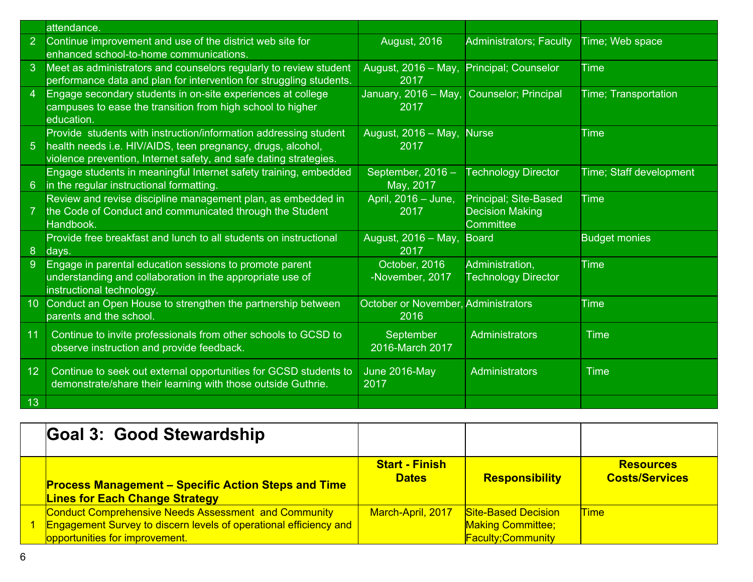|                 | attendance.                                                                                                                                                                                          |                                             |                                                                      |                             |
|-----------------|------------------------------------------------------------------------------------------------------------------------------------------------------------------------------------------------------|---------------------------------------------|----------------------------------------------------------------------|-----------------------------|
| 2 <sup>1</sup>  | Continue improvement and use of the district web site for<br>enhanced school-to-home communications.                                                                                                 | <b>August, 2016</b>                         | <b>Administrators; Faculty</b>                                       | Time; Web space             |
| $\mathbf{3}$    | Meet as administrators and counselors regularly to review student<br>performance data and plan for intervention for struggling students.                                                             | August, 2016 - May,<br>2017                 | Principal; Counselor                                                 | <b>Time</b>                 |
| $\overline{4}$  | Engage secondary students in on-site experiences at college<br>campuses to ease the transition from high school to higher<br>education.                                                              | January, 2016 – May,<br>2017                | <b>Counselor; Principal</b>                                          | <b>Time; Transportation</b> |
| $\overline{5}$  | Provide students with instruction/information addressing student<br>health needs i.e. HIV/AIDS, teen pregnancy, drugs, alcohol,<br>violence prevention, Internet safety, and safe dating strategies. | August, 2016 - May,<br>2017                 | <b>Nurse</b>                                                         | <b>Time</b>                 |
| 6               | Engage students in meaningful Internet safety training, embedded<br>in the regular instructional formatting.                                                                                         | September, 2016 -<br>May, 2017              | <b>Technology Director</b>                                           | Time; Staff development     |
| $\overline{7}$  | Review and revise discipline management plan, as embedded in<br>the Code of Conduct and communicated through the Student<br>Handbook.                                                                | April, 2016 - June,<br>2017                 | <b>Principal</b> ; Site-Based<br><b>Decision Making</b><br>Committee | <b>Time</b>                 |
| 8 <sup>°</sup>  | Provide free breakfast and lunch to all students on instructional<br>days.                                                                                                                           | August, 2016 - May,<br>2017                 | <b>Board</b>                                                         | <b>Budget monies</b>        |
| $\overline{9}$  | Engage in parental education sessions to promote parent<br>understanding and collaboration in the appropriate use of<br>instructional technology.                                                    | October, 2016<br>-November, 2017            | Administration,<br><b>Technology Director</b>                        | <b>Time</b>                 |
| 10 <sup>°</sup> | Conduct an Open House to strengthen the partnership between<br>parents and the school.                                                                                                               | October or November, Administrators<br>2016 |                                                                      | <b>Time</b>                 |
| 11              | Continue to invite professionals from other schools to GCSD to<br>observe instruction and provide feedback.                                                                                          | September<br>2016-March 2017                | Administrators                                                       | <b>Time</b>                 |
| 12 <sub>2</sub> | Continue to seek out external opportunities for GCSD students to<br>demonstrate/share their learning with those outside Guthrie.                                                                     | June 2016-May<br>2017                       | Administrators                                                       | <b>Time</b>                 |
| 13              |                                                                                                                                                                                                      |                                             |                                                                      |                             |

| Goal 3: Good Stewardship                                                                                                                                           |                                       |                                                                                    |                                           |
|--------------------------------------------------------------------------------------------------------------------------------------------------------------------|---------------------------------------|------------------------------------------------------------------------------------|-------------------------------------------|
| <b>Process Management - Specific Action Steps and Time</b><br><b>Lines for Each Change Strategy</b>                                                                | <b>Start - Finish</b><br><b>Dates</b> | <b>Responsibility</b>                                                              | <b>Resources</b><br><b>Costs/Services</b> |
| Conduct Comprehensive Needs Assessment and Community<br><b>Engagement Survey to discern levels of operational efficiency and</b><br>opportunities for improvement. | March-April, 2017                     | <b>Site-Based Decision</b><br><b>Making Committee;</b><br><b>Faculty:Community</b> | <b>Time</b>                               |